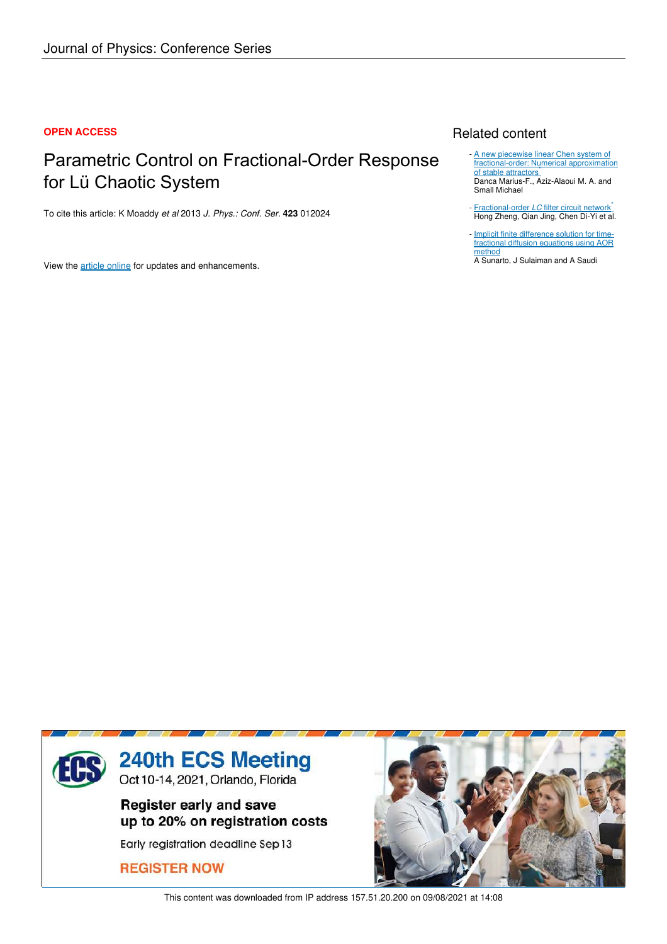## **OPEN ACCESS**

# Parametric Control on Fractional-Order Response for Lü Chaotic System

To cite this article: K Moaddy *et al* 2013 *J. Phys.: Conf. Ser.* **423** 012024

View the article online for updates and enhancements.

# Related content

- A new piecewise linear Chen system of fractional-order: Numerical approximation of stable attractors\* Danca Marius-F., Aziz-Alaoui M. A. and Small Michael
- Fractional-order *LC* filter circuit network<sup>\*</sup> Hong Zheng, Qian Jing, Chen Di-Yi et al. -
- Implicit finite difference solution for timefractional diffusion equations using AOR method -

A Sunarto, J Sulaiman and A Saudi



This content was downloaded from IP address 157.51.20.200 on 09/08/2021 at 14:08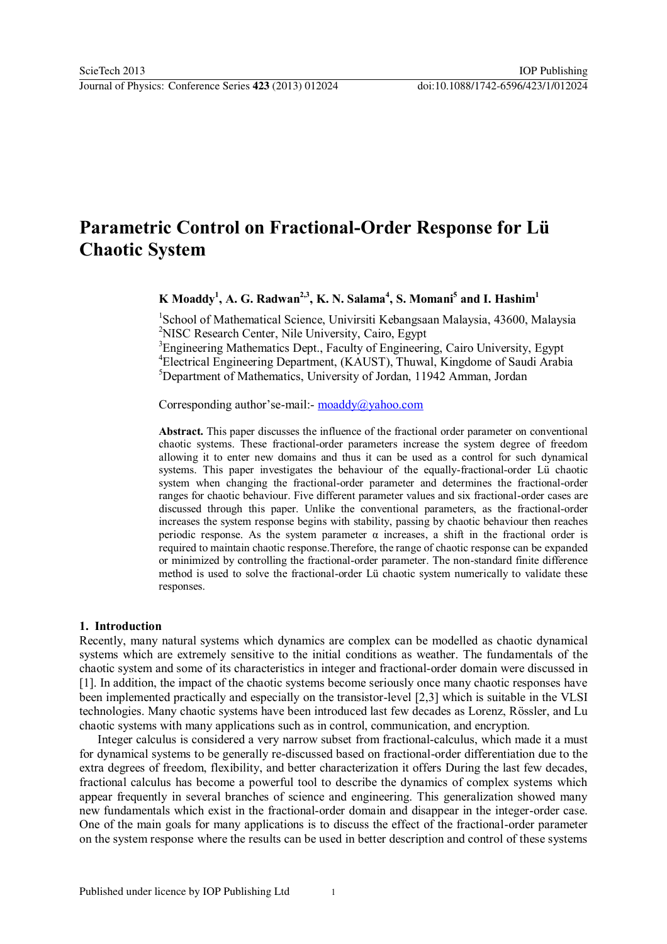# **Parametric Control on Fractional-Order Response for Lü Chaotic System**

**K Moaddy<sup>1</sup> , A. G. Radwan2,3, K. N. Salama<sup>4</sup> , S. Momani<sup>5</sup> and I. Hashim<sup>1</sup>**

<sup>1</sup>School of Mathematical Science, Univirsiti Kebangsaan Malaysia, 43600, Malaysia <sup>2</sup>NISC Research Center, Nile University, Cairo, Egypt

<sup>3</sup>Engineering Mathematics Dept., Faculty of Engineering, Cairo University, Egypt <sup>4</sup>Electrical Engineering Department, (KAUST), Thuwal, Kingdome of Saudi Arabia <sup>5</sup>Department of Mathematics, University of Jordan, 11942 Amman, Jordan

Corresponding author'se-mail:- [moaddy@yahoo.com](mailto:moaddy@yahoo.com)

**Abstract.** This paper discusses the influence of the fractional order parameter on conventional chaotic systems. These fractional-order parameters increase the system degree of freedom allowing it to enter new domains and thus it can be used as a control for such dynamical systems. This paper investigates the behaviour of the equally-fractional-order Lü chaotic system when changing the fractional-order parameter and determines the fractional-order ranges for chaotic behaviour. Five different parameter values and six fractional-order cases are discussed through this paper. Unlike the conventional parameters, as the fractional-order increases the system response begins with stability, passing by chaotic behaviour then reaches periodic response. As the system parameter  $\alpha$  increases, a shift in the fractional order is required to maintain chaotic response.Therefore, the range of chaotic response can be expanded or minimized by controlling the fractional-order parameter. The non-standard finite difference method is used to solve the fractional-order Lü chaotic system numerically to validate these responses.

#### **1. Introduction**

Recently, many natural systems which dynamics are complex can be modelled as chaotic dynamical systems which are extremely sensitive to the initial conditions as weather. The fundamentals of the chaotic system and some of its characteristics in integer and fractional-order domain were discussed in [1]. In addition, the impact of the chaotic systems become seriously once many chaotic responses have been implemented practically and especially on the transistor-level [2,3] which is suitable in the VLSI technologies. Many chaotic systems have been introduced last few decades as Lorenz, Rössler, and Lu chaotic systems with many applications such as in control, communication, and encryption.

 Integer calculus is considered a very narrow subset from fractional-calculus, which made it a must for dynamical systems to be generally re-discussed based on fractional-order differentiation due to the extra degrees of freedom, flexibility, and better characterization it offers During the last few decades, fractional calculus has become a powerful tool to describe the dynamics of complex systems which appear frequently in several branches of science and engineering. This generalization showed many new fundamentals which exist in the fractional-order domain and disappear in the integer-order case. One of the main goals for many applications is to discuss the effect of the fractional-order parameter on the system response where the results can be used in better description and control of these systems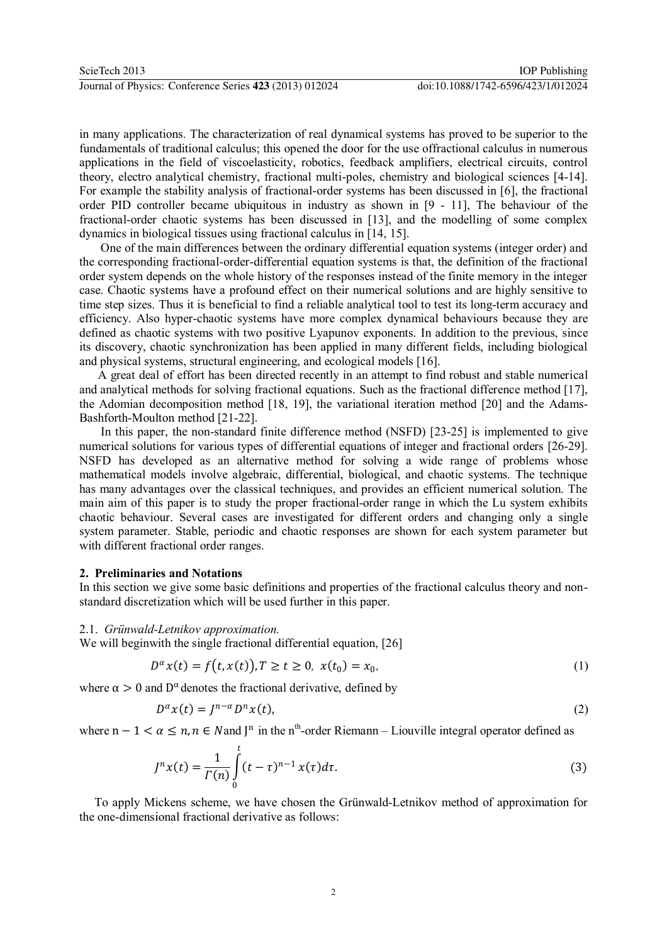in many applications. The characterization of real dynamical systems has proved to be superior to the fundamentals of traditional calculus; this opened the door for the use offractional calculus in numerous applications in the field of viscoelasticity, robotics, feedback amplifiers, electrical circuits, control theory, electro analytical chemistry, fractional multi-poles, chemistry and biological sciences [4-14]. For example the stability analysis of fractional-order systems has been discussed in [6], the fractional order PID controller became ubiquitous in industry as shown in [9 - 11], The behaviour of the fractional-order chaotic systems has been discussed in [13], and the modelling of some complex dynamics in biological tissues using fractional calculus in [14, 15].

 One of the main differences between the ordinary differential equation systems (integer order) and the corresponding fractional-order-differential equation systems is that, the definition of the fractional order system depends on the whole history of the responses instead of the finite memory in the integer case. Chaotic systems have a profound effect on their numerical solutions and are highly sensitive to time step sizes. Thus it is beneficial to find a reliable analytical tool to test its long-term accuracy and efficiency. Also hyper-chaotic systems have more complex dynamical behaviours because they are defined as chaotic systems with two positive Lyapunov exponents. In addition to the previous, since its discovery, chaotic synchronization has been applied in many different fields, including biological and physical systems, structural engineering, and ecological models [16].

 A great deal of effort has been directed recently in an attempt to find robust and stable numerical and analytical methods for solving fractional equations. Such as the fractional difference method [17], the Adomian decomposition method [18, 19], the variational iteration method [20] and the Adams-Bashforth-Moulton method [21-22].

 In this paper, the non-standard finite difference method (NSFD) [23-25] is implemented to give numerical solutions for various types of differential equations of integer and fractional orders [26-29]. NSFD has developed as an alternative method for solving a wide range of problems whose mathematical models involve algebraic, differential, biological, and chaotic systems. The technique has many advantages over the classical techniques, and provides an efficient numerical solution. The main aim of this paper is to study the proper fractional-order range in which the Lu system exhibits chaotic behaviour. Several cases are investigated for different orders and changing only a single system parameter. Stable, periodic and chaotic responses are shown for each system parameter but with different fractional order ranges.

## **2. Preliminaries and Notations**

In this section we give some basic definitions and properties of the fractional calculus theory and nonstandard discretization which will be used further in this paper.

#### 2.1. *Grünwald-Letnikov approximation.*

We will beginwith the single fractional differential equation, [26]

$$
D^{\alpha}x(t) = f(t, x(t)), T \ge t \ge 0, \ x(t_0) = x_0,
$$
\n(1)

where  $\alpha > 0$  and  $D^{\alpha}$  denotes the fractional derivative, defined by

$$
D^{\alpha}x(t) = J^{n-\alpha}D^n x(t),
$$
\n(2)

where  $n - 1 < \alpha \le n, n \in N$  and  $J^n$  in the n<sup>th</sup>-order Riemann – Liouville integral operator defined as

$$
J^{n}x(t) = \frac{1}{\Gamma(n)} \int_{0}^{t} (t - \tau)^{n-1} x(\tau) d\tau.
$$
 (3)

 To apply Mickens scheme, we have chosen the Grünwald-Letnikov method of approximation for the one-dimensional fractional derivative as follows: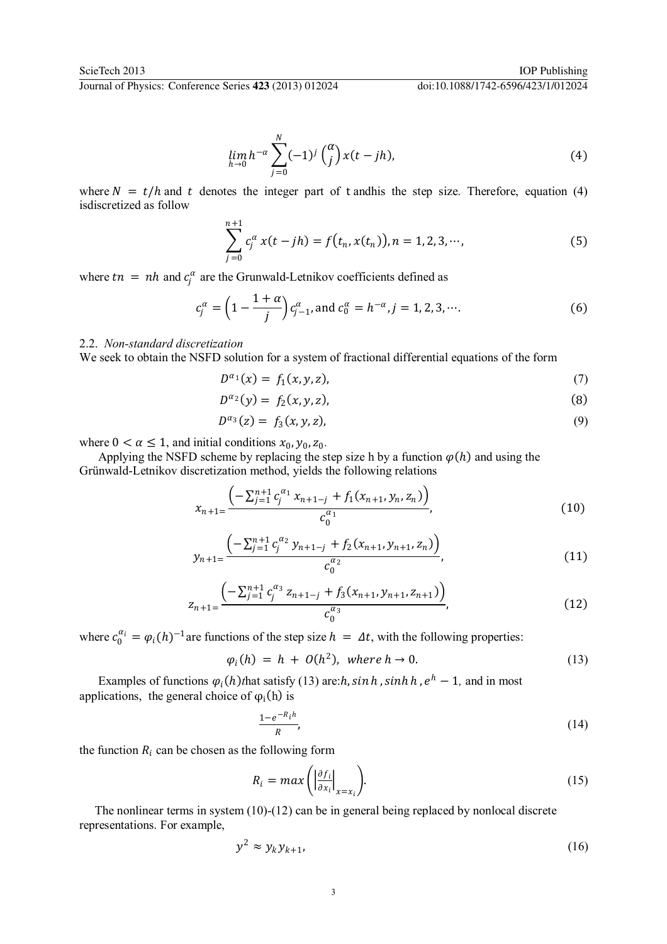Journal of Physics: Conference Series **423** (2013) 012024 doi:10.1088/1742-6596/423/1/012024

$$
\lim_{h \to 0} h^{-\alpha} \sum_{j=0}^{N} (-1)^{j} \binom{\alpha}{j} x(t - jh), \tag{4}
$$

where  $N = t/h$  and t denotes the integer part of t andhis the step size. Therefore, equation (4) isdiscretized as follow

$$
\sum_{j=0}^{n+1} c_j^{\alpha} x(t - jh) = f(t_n, x(t_n)), n = 1, 2, 3, \cdots,
$$
 (5)

where  $tn = nh$  and  $c_j^{\alpha}$  are the Grunwald-Letnikov coefficients defined as

$$
c_j^{\alpha} = \left(1 - \frac{1 + \alpha}{j}\right) c_{j-1}^{\alpha}, \text{ and } c_0^{\alpha} = h^{-\alpha}, j = 1, 2, 3, \cdots. \tag{6}
$$

#### 2.2. *Non-standard discretization*

We seek to obtain the NSFD solution for a system of fractional differential equations of the form

$$
D^{\alpha_1}(x) = f_1(x, y, z), \tag{7}
$$

$$
D^{\alpha_2}(y) = f_2(x, y, z), \tag{8}
$$

$$
D^{\alpha_3}(z) = f_3(x, y, z), \tag{9}
$$

where  $0 < \alpha \leq 1$ , and initial conditions  $x_0, y_0, z_0$ .

Applying the NSFD scheme by replacing the step size h by a function  $\varphi(h)$  and using the Grünwald-Letnikov discretization method, yields the following relations

$$
x_{n+1} = \frac{\left(-\sum_{j=1}^{n+1} c_j^{\alpha_1} x_{n+1-j} + f_1(x_{n+1}, y_n, z_n)\right)}{c_0^{\alpha_1}},\tag{10}
$$

$$
y_{n+1} = \frac{\left(-\sum_{j=1}^{n+1} c_j^{\alpha_2} y_{n+1-j} + f_2(x_{n+1}, y_{n+1}, z_n)\right)}{c_0^{\alpha_2}},\tag{11}
$$

$$
z_{n+1} = \frac{\left(-\sum_{j=1}^{n+1} c_j^{\alpha_3} z_{n+1-j} + f_3(x_{n+1}, y_{n+1}, z_{n+1})\right)}{c_0^{\alpha_3}},
$$
\n(12)

where  $c_0^{\alpha_i} = \varphi_i(h)^{-1}$  are functions of the step size  $h = \Delta t$ , with the following properties:

$$
\varphi_i(h) = h + O(h^2), \text{ where } h \to 0. \tag{13}
$$

Examples of functions  $\varphi_i(h)$  that satisfy (13) are: $h$ ,  $\sinh h$ ,  $\sinh h$ ,  $e^h - 1$ , and in most applications, the general choice of  $\varphi_i(h)$  is

$$
\frac{1-e^{-R_i h}}{R},\tag{14}
$$

the function  $R_i$  can be chosen as the following form

$$
R_i = max \left( \left. \frac{\partial f_i}{\partial x_i} \right|_{x = x_i} \right). \tag{15}
$$

 The nonlinear terms in system (10)-(12) can be in general being replaced by nonlocal discrete representations. For example,

$$
y^2 \approx y_k y_{k+1}, \tag{16}
$$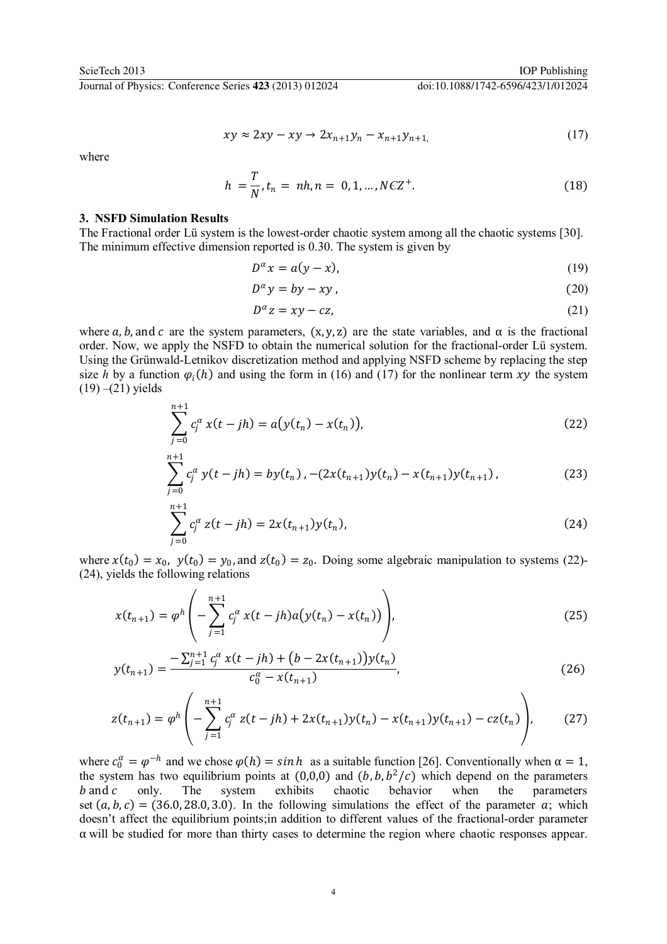Journal of Physics: Conference Series **423** (2013) 012024 doi:10.1088/1742-6596/423/1/012024

$$
xy \approx 2xy - xy \to 2x_{n+1}y_n - x_{n+1}y_{n+1},
$$
\n(17)

where

$$
h = \frac{T}{N}, t_n = nh, n = 0, 1, ..., N C Z^{+}.
$$
 (18)

## **3. NSFD Simulation Results**

 $n+1$ 

The Fractional order Lü system is the lowest-order chaotic system among all the chaotic systems [30]. The minimum effective dimension reported is 0.30. The system is given by

$$
D^{\alpha}x = a(y - x), \tag{19}
$$

$$
D^{\alpha} y = by -xy, \qquad (20)
$$

$$
D^{\alpha} z = xy - cz,\tag{21}
$$

where a, b, and c are the system parameters,  $(x, y, z)$  are the state variables, and  $\alpha$  is the fractional order. Now, we apply the NSFD to obtain the numerical solution for the fractional-order Lü system. Using the Grünwald-Letnikov discretization method and applying NSFD scheme by replacing the step size *h* by a function  $\varphi_i(h)$  and using the form in (16) and (17) for the nonlinear term xy the system  $(19)$  – $(21)$  yields

$$
\sum_{j=0}^{n+1} c_j^{\alpha} x(t - jh) = a(y(t_n) - x(t_n)),
$$
\n(22)

$$
\sum_{j=0}^{n+1} c_j^{\alpha} y(t-jh) = by(t_n) \cdot -(2x(t_{n+1})y(t_n) - x(t_{n+1})y(t_{n+1}) \,, \tag{23}
$$

$$
\sum_{j=0}^{n+1} c_j^{\alpha} z(t - jh) = 2x(t_{n+1})y(t_n),
$$
\n(24)

where  $x(t_0) = x_0$ ,  $y(t_0) = y_0$ , and  $z(t_0) = z_0$ . Doing some algebraic manipulation to systems (22)-(24), yields the following relations

$$
x(t_{n+1}) = \varphi^h \left( -\sum_{j=1}^{n+1} c_j^{\alpha} x(t-jh) a(y(t_n) - x(t_n)) \right), \tag{25}
$$

$$
y(t_{n+1}) = \frac{-\sum_{j=1}^{n+1} c_j^{\alpha} x(t-jh) + (b - 2x(t_{n+1}))y(t_n)}{c_0^{\alpha} - x(t_{n+1})},
$$
\n(26)

$$
z(t_{n+1}) = \varphi^h \left( -\sum_{j=1}^{n+1} c_j^{\alpha} z(t-jh) + 2x(t_{n+1})y(t_n) - x(t_{n+1})y(t_{n+1}) - cz(t_n) \right), \tag{27}
$$

where  $c_0^{\alpha} = \varphi^{-h}$  and we chose  $\varphi(h) = \sin h$  as a suitable function [26]. Conventionally when  $\alpha = 1$ , the system has two equilibrium points at  $(0,0,0)$  and  $(b, b, b^2/c)$  which depend on the parameters  $b$  and  $c$  only. The system exhibits chaotic behavior when the parameters set  $(a, b, c) = (36.0, 28.0, 3.0)$ . In the following simulations the effect of the parameter  $a$ ; which doesn't affect the equilibrium points;in addition to different values of the fractional-order parameter α will be studied for more than thirty cases to determine the region where chaotic responses appear.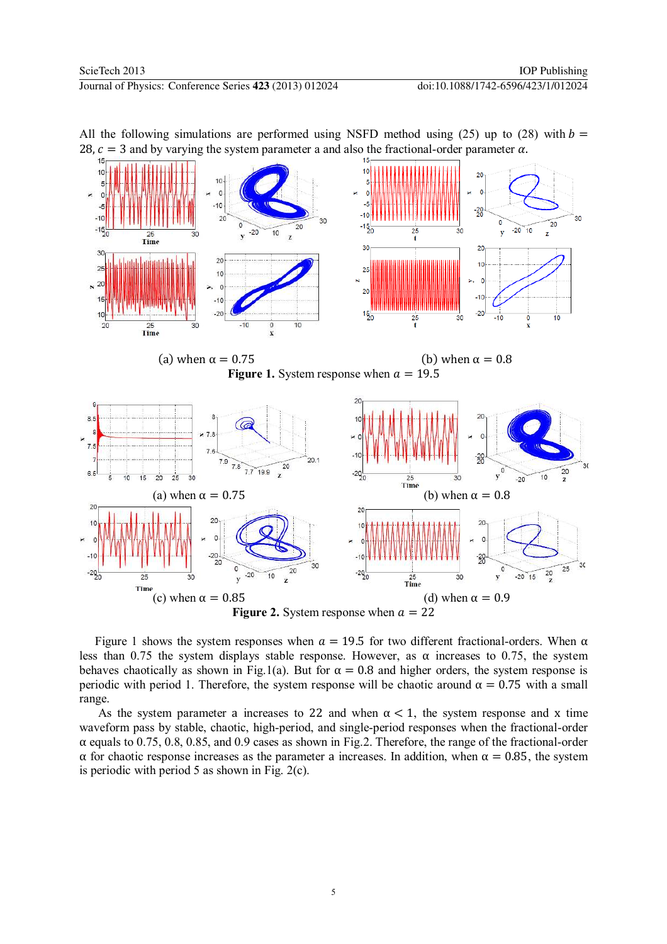



Figure 1 shows the system responses when  $\alpha = 19.5$  for two different fractional-orders. When  $\alpha$ less than 0.75 the system displays stable response. However, as  $\alpha$  increases to 0.75, the system behaves chaotically as shown in Fig.1(a). But for  $\alpha = 0.8$  and higher orders, the system response is periodic with period 1. Therefore, the system response will be chaotic around  $\alpha = 0.75$  with a small range.

As the system parameter a increases to 22 and when  $\alpha < 1$ , the system response and x time waveform pass by stable, chaotic, high-period, and single-period responses when the fractional-order  $\alpha$  equals to 0.75, 0.8, 0.85, and 0.9 cases as shown in Fig.2. Therefore, the range of the fractional-order α for chaotic response increases as the parameter a increases. In addition, when α = 0.85, the system is periodic with period 5 as shown in Fig. 2(c).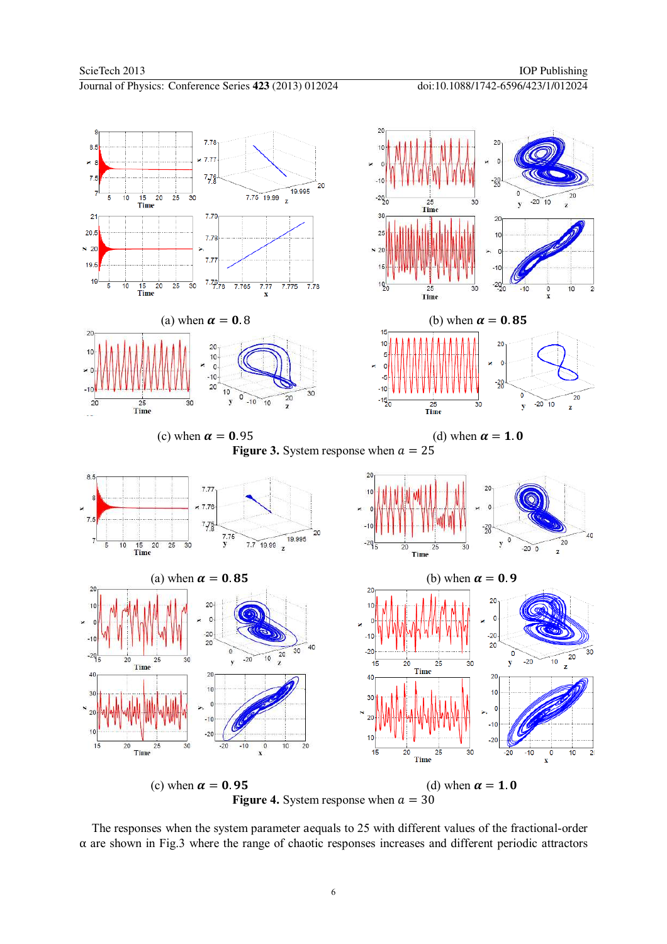

(c) when  $\alpha = 0.95$  (d) when  $\alpha = 1.0$ **Figure 4.** System response when  $a = 30$ 

 The responses when the system parameter aequals to 25 with different values of the fractional-order α are shown in Fig.3 where the range of chaotic responses increases and different periodic attractors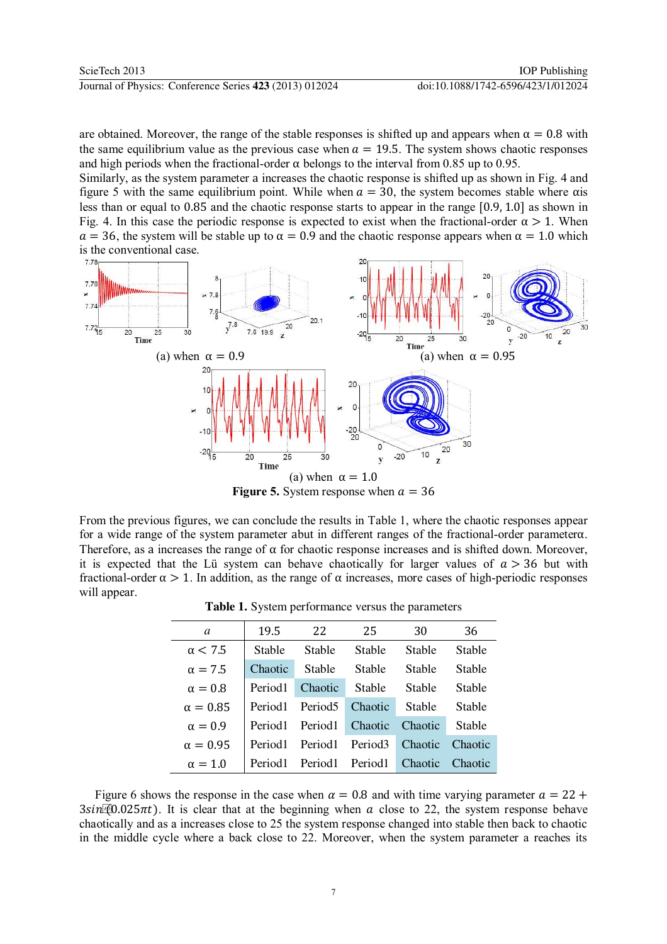will appear.

are obtained. Moreover, the range of the stable responses is shifted up and appears when  $\alpha = 0.8$  with the same equilibrium value as the previous case when  $a = 19.5$ . The system shows chaotic responses and high periods when the fractional-order  $\alpha$  belongs to the interval from 0.85 up to 0.95.

Similarly, as the system parameter a increases the chaotic response is shifted up as shown in Fig. 4 and figure 5 with the same equilibrium point. While when  $a = 30$ , the system becomes stable where  $\alpha$  is less than or equal to 0.85 and the chaotic response starts to appear in the range [0.9, 1.0] as shown in Fig. 4. In this case the periodic response is expected to exist when the fractional-order  $\alpha > 1$ . When  $\alpha = 36$ , the system will be stable up to  $\alpha = 0.9$  and the chaotic response appears when  $\alpha = 1.0$  which is the conventional case.



From the previous figures, we can conclude the results in Table 1, where the chaotic responses appear for a wide range of the system parameter abut in different ranges of the fractional-order parameterα. Therefore, as a increases the range of  $\alpha$  for chaotic response increases and is shifted down. Moreover, it is expected that the Lü system can behave chaotically for larger values of  $a > 36$  but with fractional-order  $\alpha > 1$ . In addition, as the range of  $\alpha$  increases, more cases of high-periodic responses

| Table 1. System performance versus the parameters |
|---------------------------------------------------|
|---------------------------------------------------|

| a               | 19.5                | 22                  | 25                  | 30            | 36            |
|-----------------|---------------------|---------------------|---------------------|---------------|---------------|
| $\alpha$ < 7.5  | <b>Stable</b>       | Stable              | Stable              | Stable        | <b>Stable</b> |
| $\alpha = 7.5$  | Chaotic             | Stable              | Stable              | Stable        | <b>Stable</b> |
| $\alpha = 0.8$  | Period1             | Chaotic             | <b>Stable</b>       | Stable        | Stable        |
| $\alpha = 0.85$ | Period1             | Period <sub>5</sub> | Chaotic             | <b>Stable</b> | <b>Stable</b> |
| $\alpha = 0.9$  | Period1             | Period1             | Chaotic             | Chaotic       | Stable        |
| $\alpha = 0.95$ | Period <sub>1</sub> | Period <sub>1</sub> | Period <sub>3</sub> | Chaotic       | Chaotic       |
| $\alpha = 1.0$  | Period1             | Period1             | Period1             | Chaotic       | Chaotic       |

Figure 6 shows the response in the case when  $\alpha = 0.8$  and with time varying parameter  $\alpha = 22 +$  $3\sin(0.025\pi t)$ . It is clear that at the beginning when a close to 22, the system response behave chaotically and as a increases close to 25 the system response changed into stable then back to chaotic in the middle cycle where a back close to 22. Moreover, when the system parameter a reaches its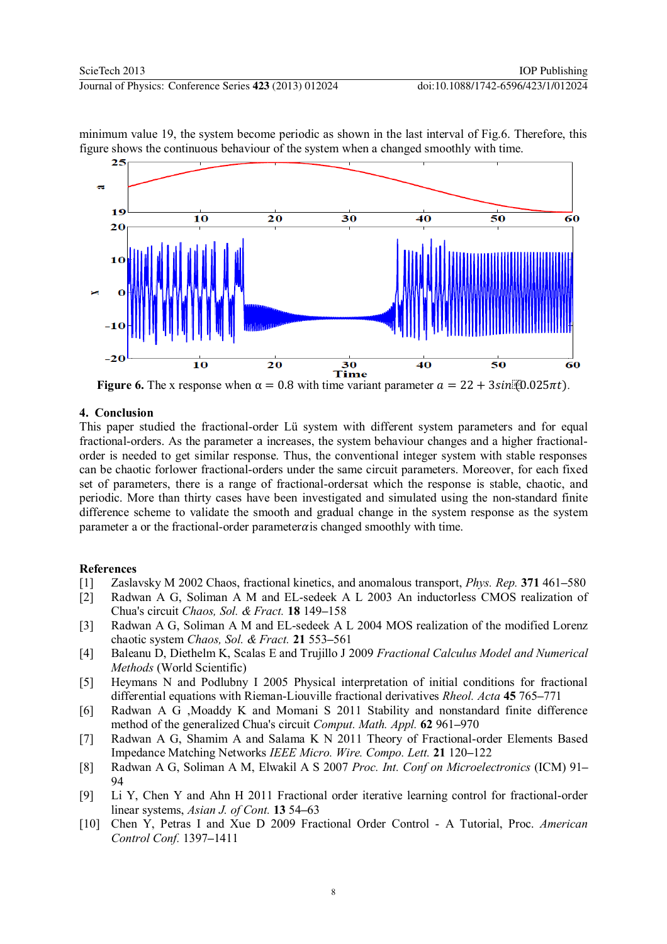

minimum value 19, the system become periodic as shown in the last interval of Fig.6. Therefore, this figure shows the continuous behaviour of the system when a changed smoothly with time.

**Figure 6.** The x response when  $\alpha = 0.8$  with time variant parameter  $a = 22 + 3\sin(\theta) \cdot 0.025\pi t$ .

## **4. Conclusion**

This paper studied the fractional-order Lü system with different system parameters and for equal fractional-orders. As the parameter a increases, the system behaviour changes and a higher fractionalorder is needed to get similar response. Thus, the conventional integer system with stable responses can be chaotic forlower fractional-orders under the same circuit parameters. Moreover, for each fixed set of parameters, there is a range of fractional-ordersat which the response is stable, chaotic, and periodic. More than thirty cases have been investigated and simulated using the non-standard finite difference scheme to validate the smooth and gradual change in the system response as the system parameter a or the fractional-order parameter  $\alpha$  is changed smoothly with time.

# **References**

- [1] Zaslavsky M 2002 Chaos, fractional kinetics, and anomalous transport, *Phys. Rep.* **371** 461**–**580
- [2] Radwan A G, Soliman A M and EL-sedeek A L 2003 An inductorless CMOS realization of Chua's circuit *Chaos, Sol. & Fract.* **18** 149**–**158
- [3] Radwan A G, Soliman A M and EL-sedeek A L 2004 MOS realization of the modified Lorenz chaotic system *Chaos, Sol. & Fract.* **21** 553**–**561
- [4] Baleanu D, Diethelm K, Scalas E and Trujillo J 2009 *Fractional Calculus Model and Numerical Methods* (World Scientific)
- [5] Heymans N and Podlubny I 2005 Physical interpretation of initial conditions for fractional differential equations with Rieman-Liouville fractional derivatives *Rheol. Acta* **45** 765**–**771
- [6] Radwan A G ,Moaddy K and Momani S 2011 Stability and nonstandard finite difference method of the generalized Chua's circuit *Comput. Math. Appl.* **62** 961**–**970
- [7] Radwan A G, Shamim A and Salama K N 2011 Theory of Fractional-order Elements Based Impedance Matching Networks *IEEE Micro. Wire. Compo. Lett.* **21** 120**–**122
- [8] Radwan A G, Soliman A M, Elwakil A S 2007 *Proc. Int. Conf on Microelectronics* (ICM) 91**–** 94
- [9] Li Y, Chen Y and Ahn H 2011 Fractional order iterative learning control for fractional-order linear systems, *Asian J. of Cont.* **13** 54**–**63
- [10] Chen Y, Petras I and Xue D 2009 Fractional Order Control A Tutorial, Proc. *American Control Conf.* 1397**–**1411